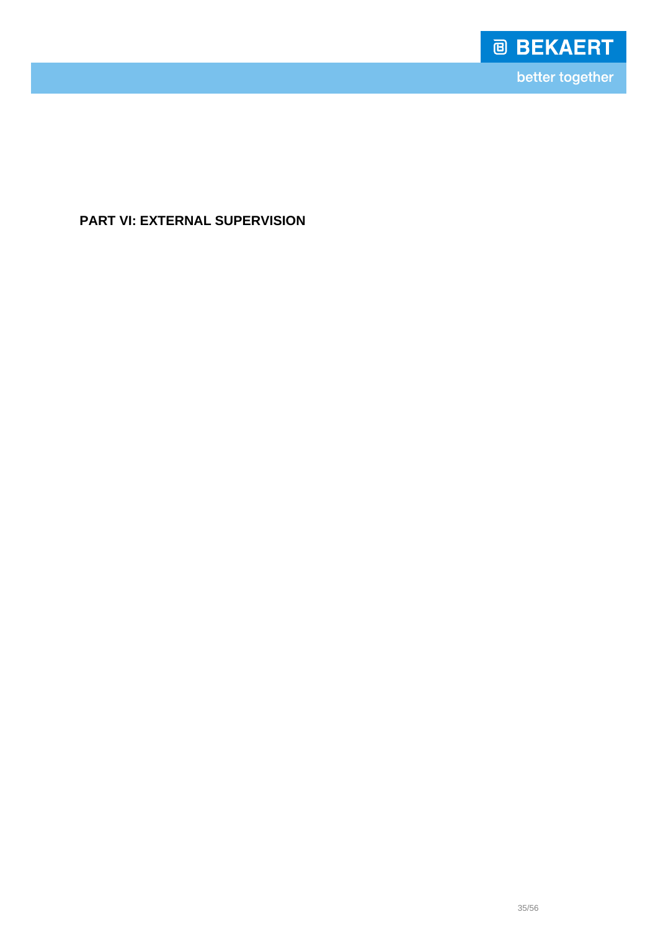

better together

# **PART VI: EXTERNAL SUPERVISION**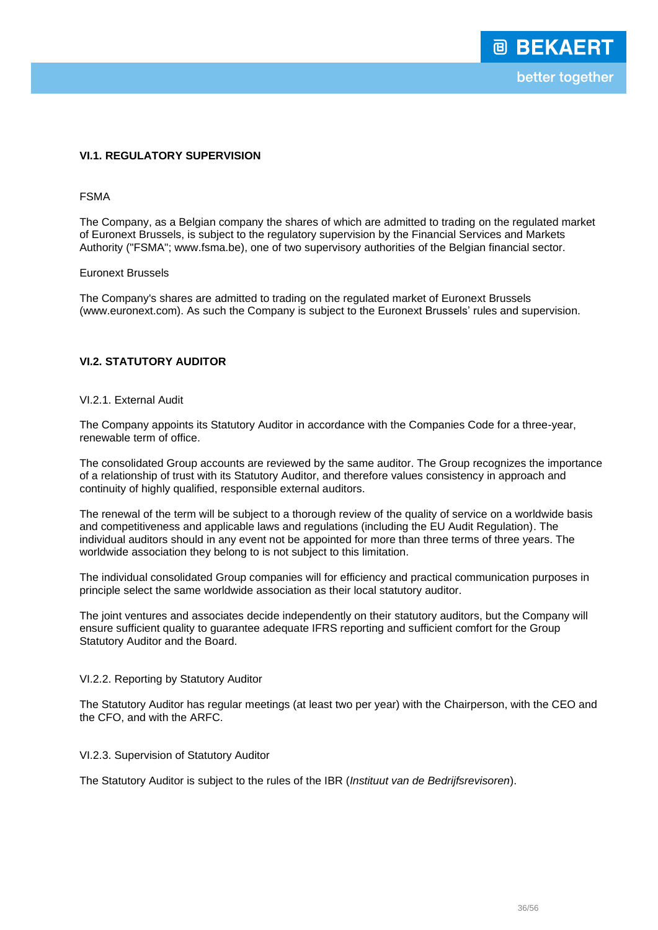## **VI.1. REGULATORY SUPERVISION**

## FSMA

The Company, as a Belgian company the shares of which are admitted to trading on the regulated market of Euronext Brussels, is subject to the regulatory supervision by the Financial Services and Markets Authority ("FSMA"; www.fsma.be), one of two supervisory authorities of the Belgian financial sector.

## Euronext Brussels

The Company's shares are admitted to trading on the regulated market of Euronext Brussels (www.euronext.com). As such the Company is subject to the Euronext Brussels' rules and supervision.

## **VI.2. STATUTORY AUDITOR**

## VI.2.1. External Audit

The Company appoints its Statutory Auditor in accordance with the Companies Code for a three-year, renewable term of office.

The consolidated Group accounts are reviewed by the same auditor. The Group recognizes the importance of a relationship of trust with its Statutory Auditor, and therefore values consistency in approach and continuity of highly qualified, responsible external auditors.

The renewal of the term will be subject to a thorough review of the quality of service on a worldwide basis and competitiveness and applicable laws and regulations (including the EU Audit Regulation). The individual auditors should in any event not be appointed for more than three terms of three years. The worldwide association they belong to is not subject to this limitation.

The individual consolidated Group companies will for efficiency and practical communication purposes in principle select the same worldwide association as their local statutory auditor.

The joint ventures and associates decide independently on their statutory auditors, but the Company will ensure sufficient quality to guarantee adequate IFRS reporting and sufficient comfort for the Group Statutory Auditor and the Board.

#### VI.2.2. Reporting by Statutory Auditor

The Statutory Auditor has regular meetings (at least two per year) with the Chairperson, with the CEO and the CFO, and with the ARFC.

#### VI.2.3. Supervision of Statutory Auditor

The Statutory Auditor is subject to the rules of the IBR (*Instituut van de Bedrijfsrevisoren*).